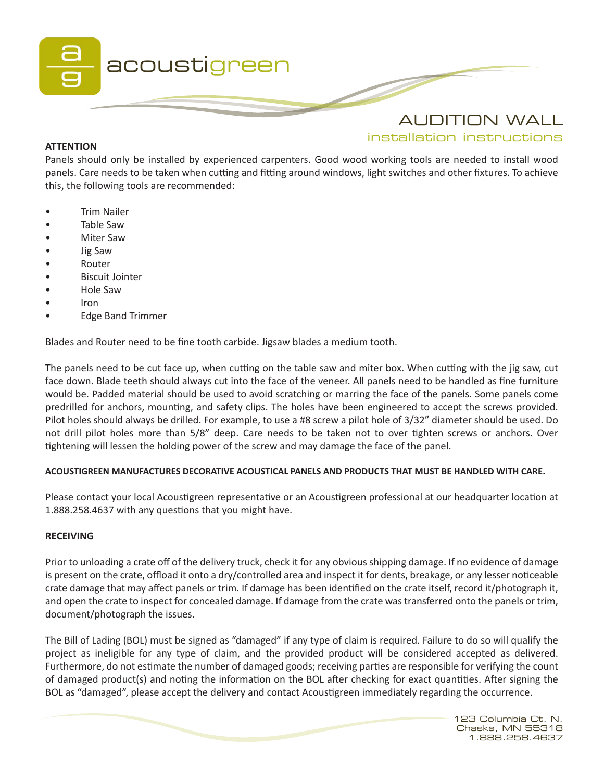

# **ATTENTION**

installation instructions

Panels should only be installed by experienced carpenters. Good wood working tools are needed to install wood panels. Care needs to be taken when cutting and fitting around windows, light switches and other fixtures. To achieve this, the following tools are recommended:

- Trim Nailer
- Table Saw
- Miter Saw
- Jig Saw
- Router
- Biscuit Jointer
- Hole Saw
- Iron
- Edge Band Trimmer

Blades and Router need to be fine tooth carbide. Jigsaw blades a medium tooth.

The panels need to be cut face up, when cutting on the table saw and miter box. When cutting with the jig saw, cut face down. Blade teeth should always cut into the face of the veneer. All panels need to be handled as fine furniture would be. Padded material should be used to avoid scratching or marring the face of the panels. Some panels come predrilled for anchors, mounting, and safety clips. The holes have been engineered to accept the screws provided. Pilot holes should always be drilled. For example, to use a #8 screw a pilot hole of 3/32" diameter should be used. Do not drill pilot holes more than 5/8" deep. Care needs to be taken not to over tighten screws or anchors. Over tightening will lessen the holding power of the screw and may damage the face of the panel.

# **ACOUSTIGREEN MANUFACTURES DECORATIVE ACOUSTICAL PANELS AND PRODUCTS THAT MUST BE HANDLED WITH CARE.**

Please contact your local Acoustigreen representative or an Acoustigreen professional at our headquarter location at 1.888.258.4637 with any questions that you might have.

# **RECEIVING**

Prior to unloading a crate off of the delivery truck, check it for any obvious shipping damage. If no evidence of damage is present on the crate, offload it onto a dry/controlled area and inspect it for dents, breakage, or any lesser noticeable crate damage that may affect panels or trim. If damage has been identified on the crate itself, record it/photograph it, and open the crate to inspect for concealed damage. If damage from the crate was transferred onto the panels or trim, document/photograph the issues.

The Bill of Lading (BOL) must be signed as "damaged" if any type of claim is required. Failure to do so will qualify the project as ineligible for any type of claim, and the provided product will be considered accepted as delivered. Furthermore, do not estimate the number of damaged goods; receiving parties are responsible for verifying the count of damaged product(s) and noting the information on the BOL after checking for exact quantities. After signing the BOL as "damaged", please accept the delivery and contact Acoustigreen immediately regarding the occurrence.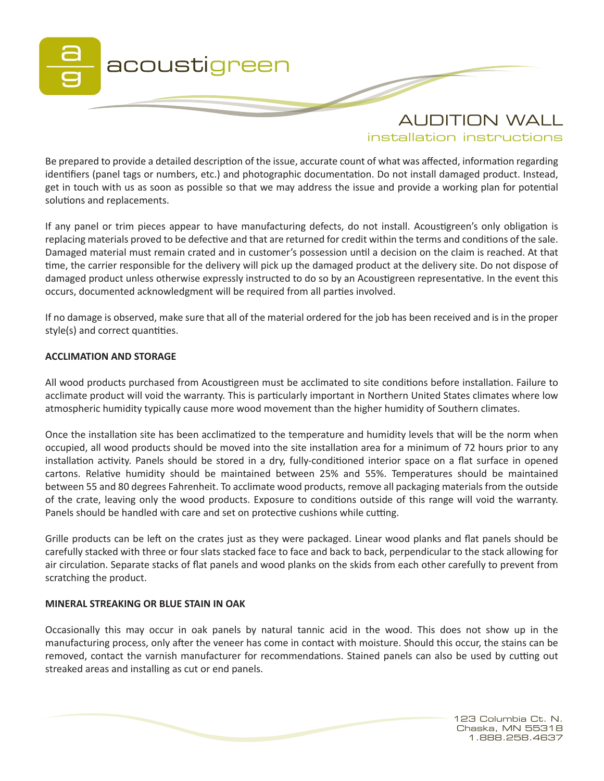

installation instructions

Be prepared to provide a detailed description of the issue, accurate count of what was affected, information regarding identifiers (panel tags or numbers, etc.) and photographic documentation. Do not install damaged product. Instead, get in touch with us as soon as possible so that we may address the issue and provide a working plan for potential solutions and replacements.

If any panel or trim pieces appear to have manufacturing defects, do not install. Acoustigreen's only obligation is replacing materials proved to be defective and that are returned for credit within the terms and conditions of the sale. Damaged material must remain crated and in customer's possession until a decision on the claim is reached. At that time, the carrier responsible for the delivery will pick up the damaged product at the delivery site. Do not dispose of damaged product unless otherwise expressly instructed to do so by an Acoustigreen representative. In the event this occurs, documented acknowledgment will be required from all parties involved.

If no damage is observed, make sure that all of the material ordered for the job has been received and is in the proper style(s) and correct quantities.

# **ACCLIMATION AND STORAGE**

All wood products purchased from Acoustigreen must be acclimated to site conditions before installation. Failure to acclimate product will void the warranty. This is particularly important in Northern United States climates where low atmospheric humidity typically cause more wood movement than the higher humidity of Southern climates.

Once the installation site has been acclimatized to the temperature and humidity levels that will be the norm when occupied, all wood products should be moved into the site installation area for a minimum of 72 hours prior to any installation activity. Panels should be stored in a dry, fully-conditioned interior space on a flat surface in opened cartons. Relative humidity should be maintained between 25% and 55%. Temperatures should be maintained between 55 and 80 degrees Fahrenheit. To acclimate wood products, remove all packaging materials from the outside of the crate, leaving only the wood products. Exposure to conditions outside of this range will void the warranty. Panels should be handled with care and set on protective cushions while cutting.

Grille products can be left on the crates just as they were packaged. Linear wood planks and flat panels should be carefully stacked with three or four slats stacked face to face and back to back, perpendicular to the stack allowing for air circulation. Separate stacks of flat panels and wood planks on the skids from each other carefully to prevent from scratching the product.

### **MINERAL STREAKING OR BLUE STAIN IN OAK**

Occasionally this may occur in oak panels by natural tannic acid in the wood. This does not show up in the manufacturing process, only after the veneer has come in contact with moisture. Should this occur, the stains can be removed, contact the varnish manufacturer for recommendations. Stained panels can also be used by cutting out streaked areas and installing as cut or end panels.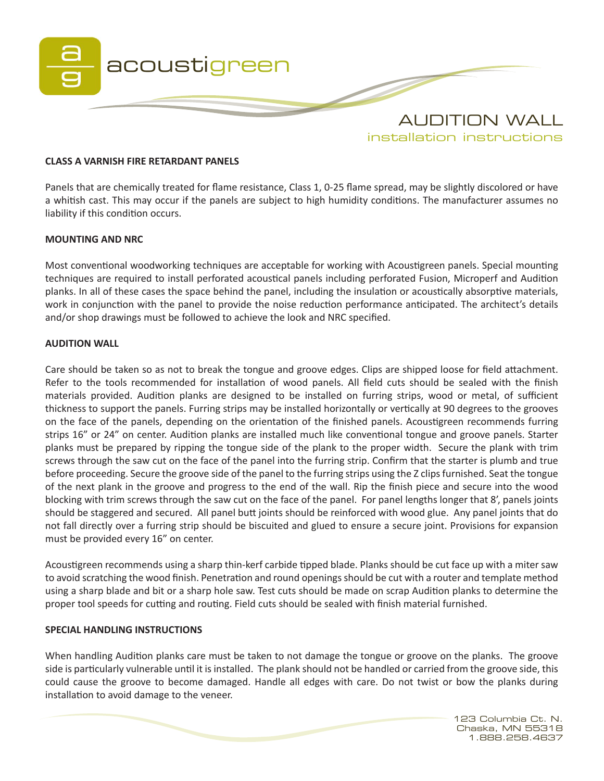

### **CLASS A VARNISH FIRE RETARDANT PANELS**

Panels that are chemically treated for flame resistance, Class 1, 0-25 flame spread, may be slightly discolored or have a whitish cast. This may occur if the panels are subject to high humidity conditions. The manufacturer assumes no liability if this condition occurs.

#### **MOUNTING AND NRC**

Most conventional woodworking techniques are acceptable for working with Acoustigreen panels. Special mounting techniques are required to install perforated acoustical panels including perforated Fusion, Microperf and Audition planks. In all of these cases the space behind the panel, including the insulation or acoustically absorptive materials, work in conjunction with the panel to provide the noise reduction performance anticipated. The architect's details and/or shop drawings must be followed to achieve the look and NRC specified.

### **AUDITION WALL**

Care should be taken so as not to break the tongue and groove edges. Clips are shipped loose for field attachment. Refer to the tools recommended for installation of wood panels. All field cuts should be sealed with the finish materials provided. Audition planks are designed to be installed on furring strips, wood or metal, of sufficient thickness to support the panels. Furring strips may be installed horizontally or vertically at 90 degrees to the grooves on the face of the panels, depending on the orientation of the finished panels. Acoustigreen recommends furring strips 16" or 24" on center. Audition planks are installed much like conventional tongue and groove panels. Starter planks must be prepared by ripping the tongue side of the plank to the proper width. Secure the plank with trim screws through the saw cut on the face of the panel into the furring strip. Confirm that the starter is plumb and true before proceeding. Secure the groove side of the panel to the furring strips using the Z clips furnished. Seat the tongue of the next plank in the groove and progress to the end of the wall. Rip the finish piece and secure into the wood blocking with trim screws through the saw cut on the face of the panel. For panel lengths longer that 8', panels joints should be staggered and secured. All panel butt joints should be reinforced with wood glue. Any panel joints that do not fall directly over a furring strip should be biscuited and glued to ensure a secure joint. Provisions for expansion must be provided every 16" on center.

Acoustigreen recommends using a sharp thin-kerf carbide tipped blade. Planks should be cut face up with a miter saw to avoid scratching the wood finish. Penetration and round openings should be cut with a router and template method using a sharp blade and bit or a sharp hole saw. Test cuts should be made on scrap Audition planks to determine the proper tool speeds for cutting and routing. Field cuts should be sealed with finish material furnished.

#### **SPECIAL HANDLING INSTRUCTIONS**

When handling Audition planks care must be taken to not damage the tongue or groove on the planks. The groove side is particularly vulnerable until it is installed. The plank should not be handled or carried from the groove side, this could cause the groove to become damaged. Handle all edges with care. Do not twist or bow the planks during installation to avoid damage to the veneer.

> 123 Columbia Ct. N. Chaska, MN 55318 1.888.258.4637